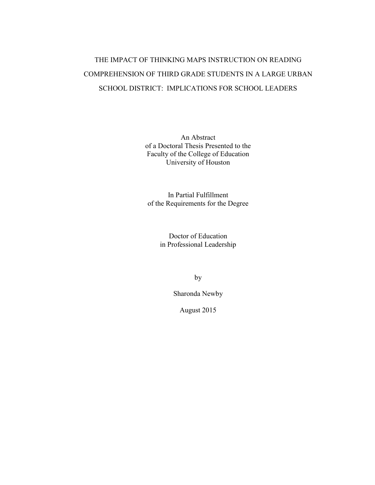## THE IMPACT OF THINKING MAPS INSTRUCTION ON READING COMPREHENSION OF THIRD GRADE STUDENTS IN A LARGE URBAN SCHOOL DISTRICT: IMPLICATIONS FOR SCHOOL LEADERS

An Abstract of a Doctoral Thesis Presented to the Faculty of the College of Education University of Houston

In Partial Fulfillment of the Requirements for the Degree

> Doctor of Education in Professional Leadership

> > by

Sharonda Newby

August 2015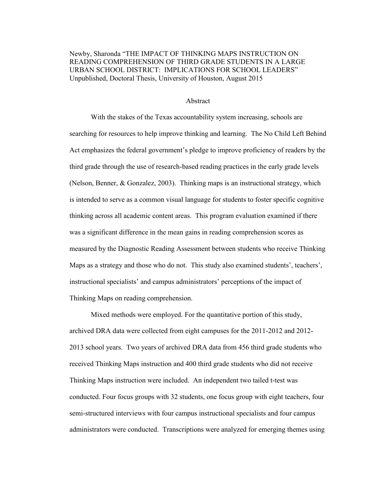Newby, Sharonda "THE IMPACT OF THINKING MAPS INSTRUCTION ON READING COMPREHENSION OF THIRD GRADE STUDENTS IN A LARGE URBAN SCHOOL DISTRICT: IMPLICATIONS FOR SCHOOL LEADERS" Unpublished, Doctoral Thesis, University of Houston, August 2015

## Abstract

With the stakes of the Texas accountability system increasing, schools are searching for resources to help improve thinking and learning. The No Child Left Behind Act emphasizes the federal government's pledge to improve proficiency of readers by the third grade through the use of research-based reading practices in the early grade levels (Nelson, Benner, & Gonzalez, 2003). Thinking maps is an instructional strategy, which is intended to serve as a common visual language for students to foster specific cognitive thinking across all academic content areas. This program evaluation examined if there was a significant difference in the mean gains in reading comprehension scores as measured by the Diagnostic Reading Assessment between students who receive Thinking Maps as a strategy and those who do not. This study also examined students', teachers', instructional specialists' and campus administrators' perceptions of the impact of Thinking Maps on reading comprehension.

Mixed methods were employed. For the quantitative portion of this study, archived DRA data were collected from eight campuses for the 2011-2012 and 2012- 2013 school years. Two years of archived DRA data from 456 third grade students who received Thinking Maps instruction and 400 third grade students who did not receive Thinking Maps instruction were included. An independent two tailed t-test was conducted. Four focus groups with 32 students, one focus group with eight teachers, four semi-structured interviews with four campus instructional specialists and four campus administrators were conducted. Transcriptions were analyzed for emerging themes using